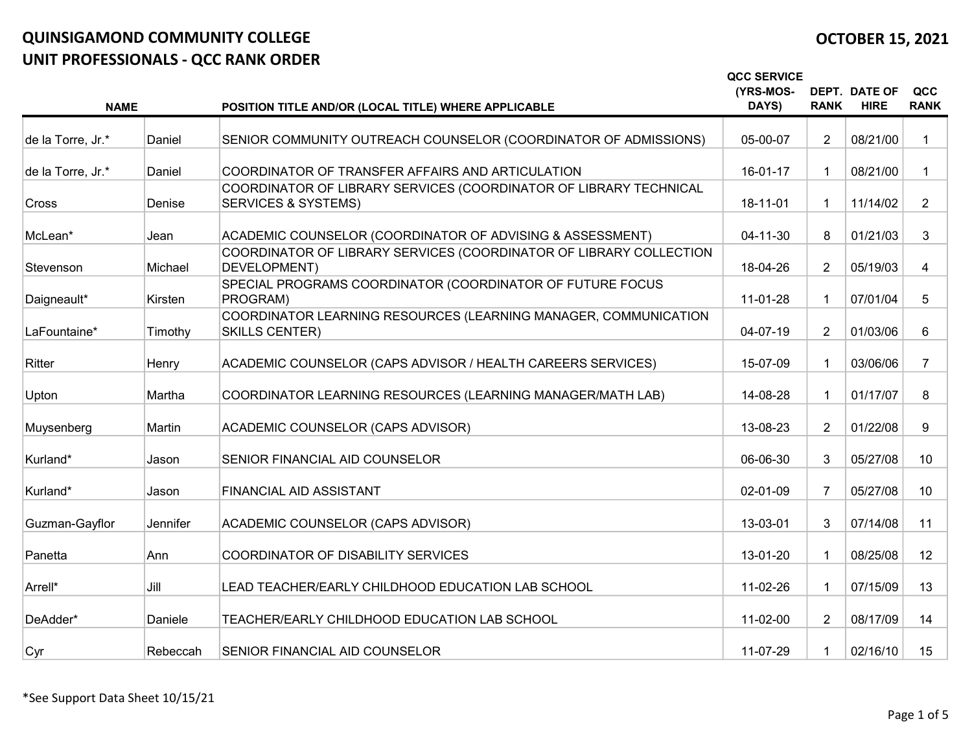|                   |          |                                                                                                     | <b>QCC SERVICE</b><br>(YRS-MOS-<br>DAYS) | <b>RANK</b>    | <b>DEPT. DATE OF</b><br><b>HIRE</b> | QCC<br><b>RANK</b> |
|-------------------|----------|-----------------------------------------------------------------------------------------------------|------------------------------------------|----------------|-------------------------------------|--------------------|
| <b>NAME</b>       |          | POSITION TITLE AND/OR (LOCAL TITLE) WHERE APPLICABLE                                                |                                          |                |                                     |                    |
| de la Torre, Jr.* | Daniel   | SENIOR COMMUNITY OUTREACH COUNSELOR (COORDINATOR OF ADMISSIONS)                                     | 05-00-07                                 | $\overline{2}$ | 08/21/00                            |                    |
| de la Torre, Jr.* | Daniel   | COORDINATOR OF TRANSFER AFFAIRS AND ARTICULATION                                                    | 16-01-17                                 |                | 08/21/00                            |                    |
| <b>Cross</b>      | Denise   | COORDINATOR OF LIBRARY SERVICES (COORDINATOR OF LIBRARY TECHNICAL<br><b>SERVICES &amp; SYSTEMS)</b> | 18-11-01                                 |                | 11/14/02                            | $\overline{2}$     |
| McLean*           | Jean     | ACADEMIC COUNSELOR (COORDINATOR OF ADVISING & ASSESSMENT)                                           | $04 - 11 - 30$                           | 8              | 01/21/03                            | 3                  |
| Stevenson         | Michael  | COORDINATOR OF LIBRARY SERVICES (COORDINATOR OF LIBRARY COLLECTION<br>DEVELOPMENT)                  | 18-04-26                                 | $\overline{2}$ | 05/19/03                            | 4                  |
| Daigneault*       | Kirsten  | SPECIAL PROGRAMS COORDINATOR (COORDINATOR OF FUTURE FOCUS<br>PROGRAM)                               | 11-01-28                                 |                | 07/01/04                            | 5                  |
| LaFountaine*      | Timothy  | COORDINATOR LEARNING RESOURCES (LEARNING MANAGER, COMMUNICATION<br><b>SKILLS CENTER)</b>            | 04-07-19                                 | $\overline{2}$ | 01/03/06                            | 6                  |
| Ritter            | Henry    | ACADEMIC COUNSELOR (CAPS ADVISOR / HEALTH CAREERS SERVICES)                                         | 15-07-09                                 |                | 03/06/06                            | 7                  |
| Upton             | Martha   | COORDINATOR LEARNING RESOURCES (LEARNING MANAGER/MATH LAB)                                          | 14-08-28                                 |                | 01/17/07                            | 8                  |
| Muysenberg        | Martin   | ACADEMIC COUNSELOR (CAPS ADVISOR)                                                                   | 13-08-23                                 | $\overline{2}$ | 01/22/08                            | 9                  |
| Kurland*          | Jason    | SENIOR FINANCIAL AID COUNSELOR                                                                      | 06-06-30                                 | 3              | 05/27/08                            | 10                 |
| Kurland*          | Jason    | FINANCIAL AID ASSISTANT                                                                             | 02-01-09                                 | 7              | 05/27/08                            | 10                 |
| Guzman-Gayflor    | Jennifer | ACADEMIC COUNSELOR (CAPS ADVISOR)                                                                   | 13-03-01                                 | 3              | 07/14/08                            | 11                 |
| Panetta           | Ann      | COORDINATOR OF DISABILITY SERVICES                                                                  | 13-01-20                                 |                | 08/25/08                            | 12                 |
| Arrell*           | Jill     | LEAD TEACHER/EARLY CHILDHOOD EDUCATION LAB SCHOOL                                                   | 11-02-26                                 |                | 07/15/09                            | 13                 |
| DeAdder*          | Daniele  | TEACHER/EARLY CHILDHOOD EDUCATION LAB SCHOOL                                                        | 11-02-00                                 | $\overline{2}$ | 08/17/09                            | 14                 |
| Cyr               | Rebeccah | SENIOR FINANCIAL AID COUNSELOR                                                                      | 11-07-29                                 |                | 02/16/10                            | 15                 |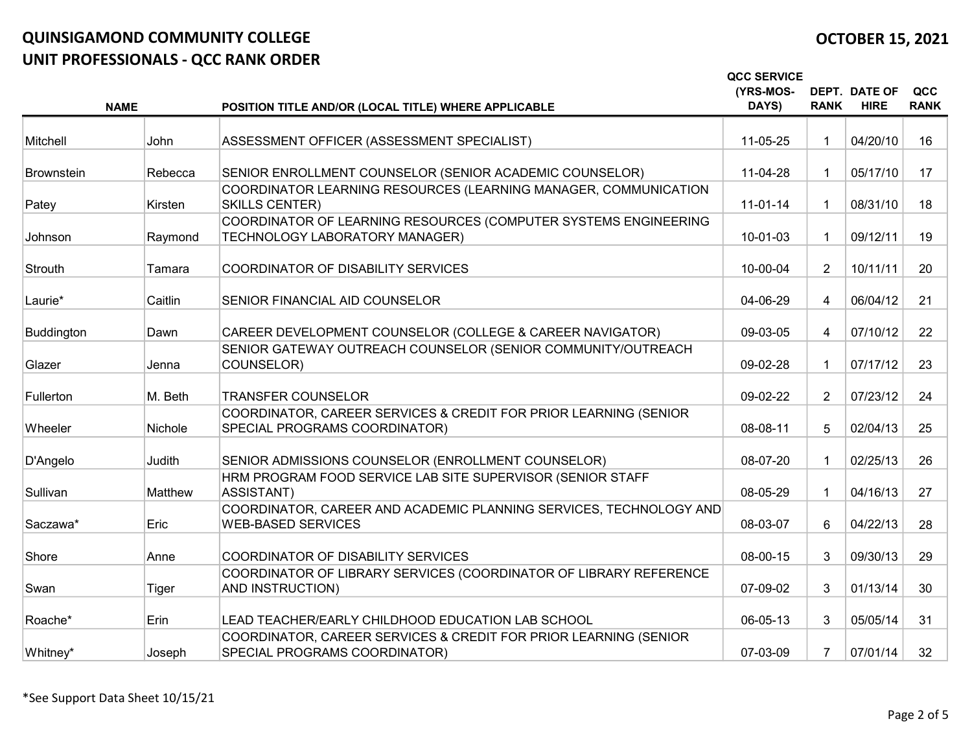|                   |             |                                                                                                   | <b>QCC SERVICE</b><br>(YRS-MOS-<br>DAYS) | <b>RANK</b>    | <b>DEPT. DATE OF</b><br><b>HIRE</b> | QCC<br><b>RANK</b> |
|-------------------|-------------|---------------------------------------------------------------------------------------------------|------------------------------------------|----------------|-------------------------------------|--------------------|
|                   | <b>NAME</b> | POSITION TITLE AND/OR (LOCAL TITLE) WHERE APPLICABLE                                              |                                          |                |                                     |                    |
| Mitchell          | John        | ASSESSMENT OFFICER (ASSESSMENT SPECIALIST)                                                        | 11-05-25                                 |                | 04/20/10                            | 16                 |
| <b>Brownstein</b> | Rebecca     | SENIOR ENROLLMENT COUNSELOR (SENIOR ACADEMIC COUNSELOR)                                           | 11-04-28                                 |                | 05/17/10                            | 17                 |
| Patey             | Kirsten     | COORDINATOR LEARNING RESOURCES (LEARNING MANAGER, COMMUNICATION<br><b>SKILLS CENTER)</b>          | $11-01-14$                               |                | 08/31/10                            | 18                 |
| Johnson           | Raymond     | COORDINATOR OF LEARNING RESOURCES (COMPUTER SYSTEMS ENGINEERING<br>TECHNOLOGY LABORATORY MANAGER) | 10-01-03                                 |                | 09/12/11                            | 19                 |
| Strouth           | Tamara      | <b>COORDINATOR OF DISABILITY SERVICES</b>                                                         | 10-00-04                                 | $\overline{2}$ | 10/11/11                            | 20                 |
| Laurie*           | Caitlin     | SENIOR FINANCIAL AID COUNSELOR                                                                    | 04-06-29                                 | $\overline{4}$ | 06/04/12                            | 21                 |
| Buddington        | Dawn        | CAREER DEVELOPMENT COUNSELOR (COLLEGE & CAREER NAVIGATOR)                                         | 09-03-05                                 | 4              | 07/10/12                            | 22                 |
| Glazer            | Jenna       | SENIOR GATEWAY OUTREACH COUNSELOR (SENIOR COMMUNITY/OUTREACH<br>COUNSELOR)                        | 09-02-28                                 | 1.             | 07/17/12                            | 23                 |
| Fullerton         | M. Beth     | <b>TRANSFER COUNSELOR</b>                                                                         | 09-02-22                                 | $\overline{2}$ | 07/23/12                            | 24                 |
| Wheeler           | Nichole     | COORDINATOR, CAREER SERVICES & CREDIT FOR PRIOR LEARNING (SENIOR<br>SPECIAL PROGRAMS COORDINATOR) | 08-08-11                                 | 5              | 02/04/13                            | 25                 |
| D'Angelo          | Judith      | SENIOR ADMISSIONS COUNSELOR (ENROLLMENT COUNSELOR)                                                | 08-07-20                                 |                | 02/25/13                            | 26                 |
| Sullivan          | Matthew     | HRM PROGRAM FOOD SERVICE LAB SITE SUPERVISOR (SENIOR STAFF<br>ASSISTANT)                          | 08-05-29                                 |                | 04/16/13                            | 27                 |
| Saczawa*          | Eric        | COORDINATOR, CAREER AND ACADEMIC PLANNING SERVICES, TECHNOLOGY AND<br><b>WEB-BASED SERVICES</b>   | 08-03-07                                 | 6              | 04/22/13                            | 28                 |
| Shore             | Anne        | COORDINATOR OF DISABILITY SERVICES                                                                | 08-00-15                                 | 3              | 09/30/13                            | 29                 |
| Swan              | Tiger       | COORDINATOR OF LIBRARY SERVICES (COORDINATOR OF LIBRARY REFERENCE<br>AND INSTRUCTION)             | 07-09-02                                 | 3              | 01/13/14                            | 30                 |
| Roache*           | Erin        | LEAD TEACHER/EARLY CHILDHOOD EDUCATION LAB SCHOOL                                                 | 06-05-13                                 | 3              | 05/05/14                            | 31                 |
| Whitney*          | Joseph      | COORDINATOR, CAREER SERVICES & CREDIT FOR PRIOR LEARNING (SENIOR<br>SPECIAL PROGRAMS COORDINATOR) | 07-03-09                                 | $\overline{7}$ | 07/01/14                            | 32 <sup>2</sup>    |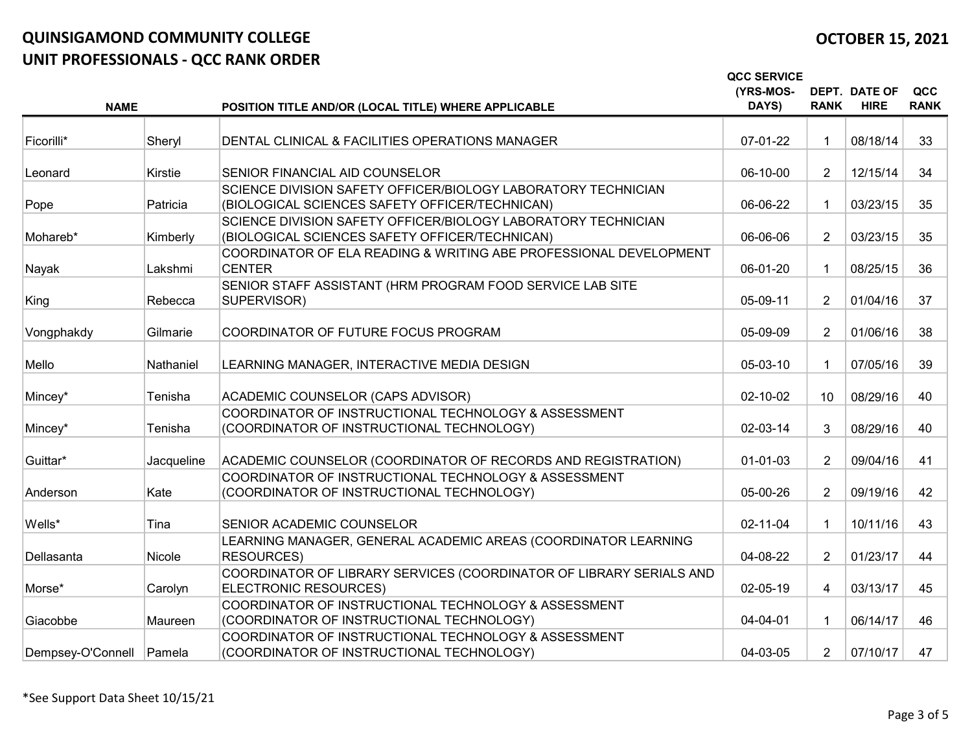|                            |            |                                                                                                                 | <b>QCC SERVICE</b> |                 |                                     |                    |
|----------------------------|------------|-----------------------------------------------------------------------------------------------------------------|--------------------|-----------------|-------------------------------------|--------------------|
| <b>NAME</b>                |            | POSITION TITLE AND/OR (LOCAL TITLE) WHERE APPLICABLE                                                            | (YRS-MOS-<br>DAYS) | <b>RANK</b>     | <b>DEPT. DATE OF</b><br><b>HIRE</b> | QCC<br><b>RANK</b> |
|                            |            |                                                                                                                 |                    |                 |                                     |                    |
| Ficorilli*                 | Sheryl     | DENTAL CLINICAL & FACILITIES OPERATIONS MANAGER                                                                 | 07-01-22           |                 | 08/18/14                            | 33                 |
| Leonard                    | Kirstie    | SENIOR FINANCIAL AID COUNSELOR                                                                                  | 06-10-00           | $\overline{2}$  | 12/15/14                            | 34                 |
| Pope                       | Patricia   | SCIENCE DIVISION SAFETY OFFICER/BIOLOGY LABORATORY TECHNICIAN<br>(BIOLOGICAL SCIENCES SAFETY OFFICER/TECHNICAN) | 06-06-22           |                 | 03/23/15                            | 35                 |
|                            |            | SCIENCE DIVISION SAFETY OFFICER/BIOLOGY LABORATORY TECHNICIAN                                                   |                    |                 |                                     |                    |
| Mohareb*                   | Kimberly   | (BIOLOGICAL SCIENCES SAFETY OFFICER/TECHNICAN)                                                                  | 06-06-06           | $\overline{2}$  | 03/23/15                            | 35                 |
| Nayak                      | Lakshmi    | COORDINATOR OF ELA READING & WRITING ABE PROFESSIONAL DEVELOPMENT<br><b>CENTER</b>                              | 06-01-20           |                 | 08/25/15                            | 36                 |
| King                       | Rebecca    | SENIOR STAFF ASSISTANT (HRM PROGRAM FOOD SERVICE LAB SITE<br>SUPERVISOR)                                        | 05-09-11           | $\overline{2}$  | 01/04/16                            | 37                 |
| Vongphakdy                 | Gilmarie   | COORDINATOR OF FUTURE FOCUS PROGRAM                                                                             | 05-09-09           | $\overline{2}$  | 01/06/16                            | 38                 |
| Mello                      | Nathaniel  | LEARNING MANAGER, INTERACTIVE MEDIA DESIGN                                                                      | 05-03-10           |                 | 07/05/16                            | 39                 |
| Mincey*                    | Tenisha    | ACADEMIC COUNSELOR (CAPS ADVISOR)                                                                               | 02-10-02           | 10 <sup>°</sup> | 08/29/16                            | 40                 |
| Mincey*                    | Tenisha    | COORDINATOR OF INSTRUCTIONAL TECHNOLOGY & ASSESSMENT<br>(COORDINATOR OF INSTRUCTIONAL TECHNOLOGY)               | 02-03-14           | 3               | 08/29/16                            | 40                 |
| Guittar*                   | Jacqueline | ACADEMIC COUNSELOR (COORDINATOR OF RECORDS AND REGISTRATION)                                                    | 01-01-03           | $\overline{2}$  | 09/04/16                            | 41                 |
| Anderson                   | Kate       | COORDINATOR OF INSTRUCTIONAL TECHNOLOGY & ASSESSMENT<br>(COORDINATOR OF INSTRUCTIONAL TECHNOLOGY)               | 05-00-26           | 2               | 09/19/16                            | 42                 |
| Wells*                     | Tina       | SENIOR ACADEMIC COUNSELOR                                                                                       | 02-11-04           |                 | 10/11/16                            | 43                 |
| Dellasanta                 | Nicole     | LEARNING MANAGER, GENERAL ACADEMIC AREAS (COORDINATOR LEARNING<br><b>RESOURCES)</b>                             | 04-08-22           | $\overline{2}$  | 01/23/17                            | 44                 |
| Morse*                     | Carolyn    | COORDINATOR OF LIBRARY SERVICES (COORDINATOR OF LIBRARY SERIALS AND<br>ELECTRONIC RESOURCES)                    | 02-05-19           | 4               | 03/13/17                            | 45                 |
| Giacobbe                   | Maureen    | COORDINATOR OF INSTRUCTIONAL TECHNOLOGY & ASSESSMENT<br>(COORDINATOR OF INSTRUCTIONAL TECHNOLOGY)               | 04-04-01           |                 | 06/14/17                            | 46                 |
| Dempsey-O'Connell   Pamela |            | COORDINATOR OF INSTRUCTIONAL TECHNOLOGY & ASSESSMENT<br>(COORDINATOR OF INSTRUCTIONAL TECHNOLOGY)               | 04-03-05           | $\overline{2}$  | 07/10/17                            | 47                 |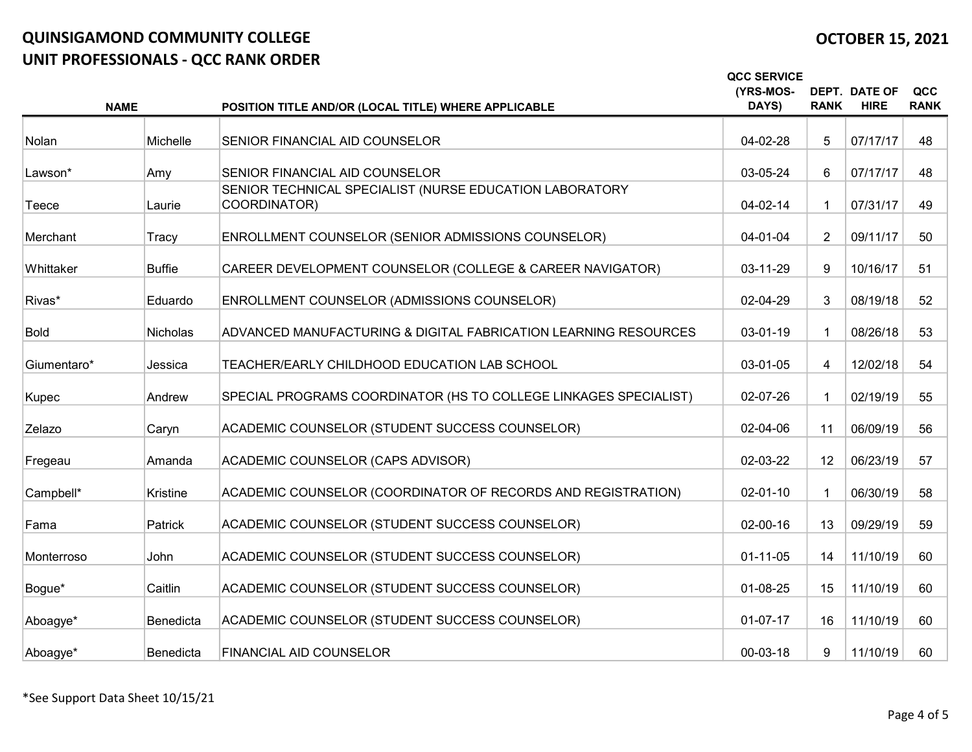## OCTOBER 15, 2021

|             | <b>NAME</b>      | POSITION TITLE AND/OR (LOCAL TITLE) WHERE APPLICABLE                    | <b>QCC SERVICE</b><br>(YRS-MOS-<br>DAYS) | <b>RANK</b>    | DEPT. DATE OF<br><b>HIRE</b> | QCC<br><b>RANK</b> |
|-------------|------------------|-------------------------------------------------------------------------|------------------------------------------|----------------|------------------------------|--------------------|
| Nolan       | Michelle         | SENIOR FINANCIAL AID COUNSELOR                                          | 04-02-28                                 | 5              | 07/17/17                     | 48                 |
|             |                  |                                                                         |                                          |                |                              |                    |
| Lawson*     | Amy              | SENIOR FINANCIAL AID COUNSELOR                                          | 03-05-24                                 | 6              | 07/17/17                     | 48                 |
| Teece       | Laurie           | SENIOR TECHNICAL SPECIALIST (NURSE EDUCATION LABORATORY<br>COORDINATOR) | 04-02-14                                 |                | 07/31/17                     | 49                 |
| Merchant    | Tracy            | ENROLLMENT COUNSELOR (SENIOR ADMISSIONS COUNSELOR)                      | 04-01-04                                 | $\overline{2}$ | 09/11/17                     | 50                 |
| Whittaker   | <b>Buffie</b>    | CAREER DEVELOPMENT COUNSELOR (COLLEGE & CAREER NAVIGATOR)               | 03-11-29                                 | 9              | 10/16/17                     | 51                 |
| Rivas*      | Eduardo          | ENROLLMENT COUNSELOR (ADMISSIONS COUNSELOR)                             | 02-04-29                                 | 3              | 08/19/18                     | 52                 |
| <b>Bold</b> | Nicholas         | ADVANCED MANUFACTURING & DIGITAL FABRICATION LEARNING RESOURCES         | 03-01-19                                 |                | 08/26/18                     | 53                 |
| Giumentaro* | Jessica          | TEACHER/EARLY CHILDHOOD EDUCATION LAB SCHOOL                            | 03-01-05                                 | $\overline{4}$ | 12/02/18                     | 54                 |
| Kupec       | Andrew           | SPECIAL PROGRAMS COORDINATOR (HS TO COLLEGE LINKAGES SPECIALIST)        | 02-07-26                                 |                | 02/19/19                     | 55                 |
| Zelazo      | Caryn            | ACADEMIC COUNSELOR (STUDENT SUCCESS COUNSELOR)                          | 02-04-06                                 | 11             | 06/09/19                     | 56                 |
| Fregeau     | Amanda           | ACADEMIC COUNSELOR (CAPS ADVISOR)                                       | 02-03-22                                 | 12             | 06/23/19                     | 57                 |
| Campbell*   | Kristine         | ACADEMIC COUNSELOR (COORDINATOR OF RECORDS AND REGISTRATION)            | $02 - 01 - 10$                           |                | 06/30/19                     | 58                 |
| Fama        | Patrick          | ACADEMIC COUNSELOR (STUDENT SUCCESS COUNSELOR)                          | 02-00-16                                 | 13             | 09/29/19                     | 59                 |
| Monterroso  | John             | ACADEMIC COUNSELOR (STUDENT SUCCESS COUNSELOR)                          | $01 - 11 - 05$                           | 14             | 11/10/19                     | 60                 |
| Bogue*      | Caitlin          | ACADEMIC COUNSELOR (STUDENT SUCCESS COUNSELOR)                          | 01-08-25                                 | 15             | 11/10/19                     | 60                 |
| Aboagye*    | <b>Benedicta</b> | ACADEMIC COUNSELOR (STUDENT SUCCESS COUNSELOR)                          | $01-07-17$                               | 16             | 11/10/19                     | 60                 |
| Aboagye*    | <b>Benedicta</b> | <b>FINANCIAL AID COUNSELOR</b>                                          | 00-03-18                                 | 9              | 11/10/19                     | 60                 |

\*See Support Data Sheet 10/15/21